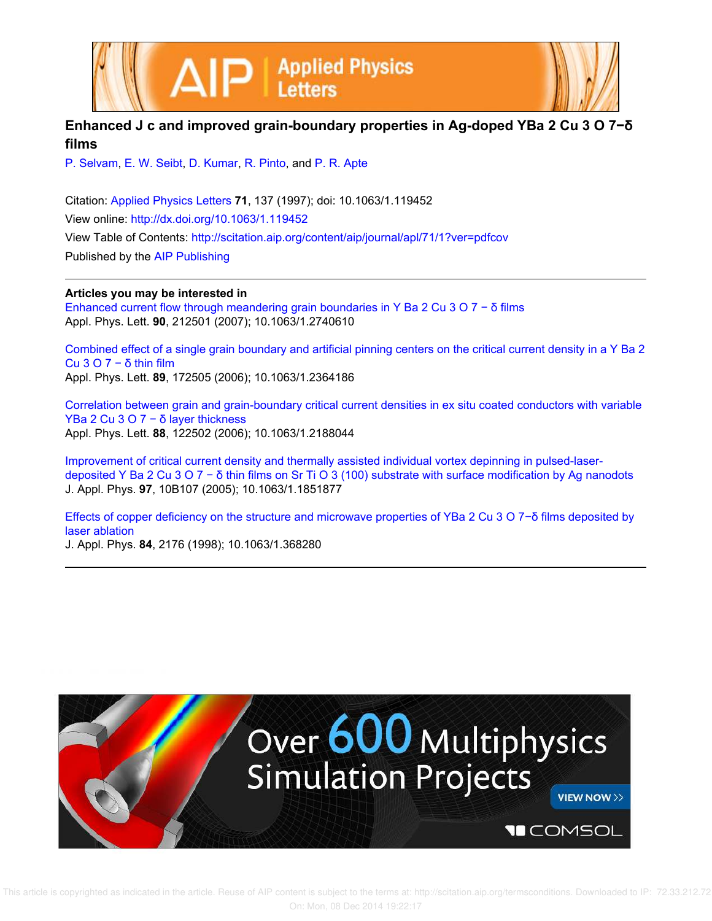

## **Enhanced J c and improved grain-boundary properties in Ag-doped YBa 2 Cu 3 O 7−δ films**

P. Selvam, E. W. Seibt, D. Kumar, R. Pinto, and P. R. Apte

Citation: Applied Physics Letters **71**, 137 (1997); doi: 10.1063/1.119452 View online: http://dx.doi.org/10.1063/1.119452 View Table of Contents: http://scitation.aip.org/content/aip/journal/apl/71/1?ver=pdfcov Published by the AIP Publishing

**Articles you may be interested in**

Enhanced current flow through meandering grain boundaries in Y Ba 2 Cu 3 O 7 − δ films Appl. Phys. Lett. **90**, 212501 (2007); 10.1063/1.2740610

Combined effect of a single grain boundary and artificial pinning centers on the critical current density in a Y Ba 2 Cu 3 O 7 − δ thin film Appl. Phys. Lett. **89**, 172505 (2006); 10.1063/1.2364186

Correlation between grain and grain-boundary critical current densities in ex situ coated conductors with variable YBa 2 Cu 3 O 7 − δ layer thickness Appl. Phys. Lett. **88**, 122502 (2006); 10.1063/1.2188044

Improvement of critical current density and thermally assisted individual vortex depinning in pulsed-laserdeposited Y Ba 2 Cu 3 O 7 − δ thin films on Sr Ti O 3 (100) substrate with surface modification by Ag nanodots J. Appl. Phys. **97**, 10B107 (2005); 10.1063/1.1851877

Effects of copper deficiency on the structure and microwave properties of YBa 2 Cu 3 O 7−δ films deposited by laser ablation

J. Appl. Phys. **84**, 2176 (1998); 10.1063/1.368280

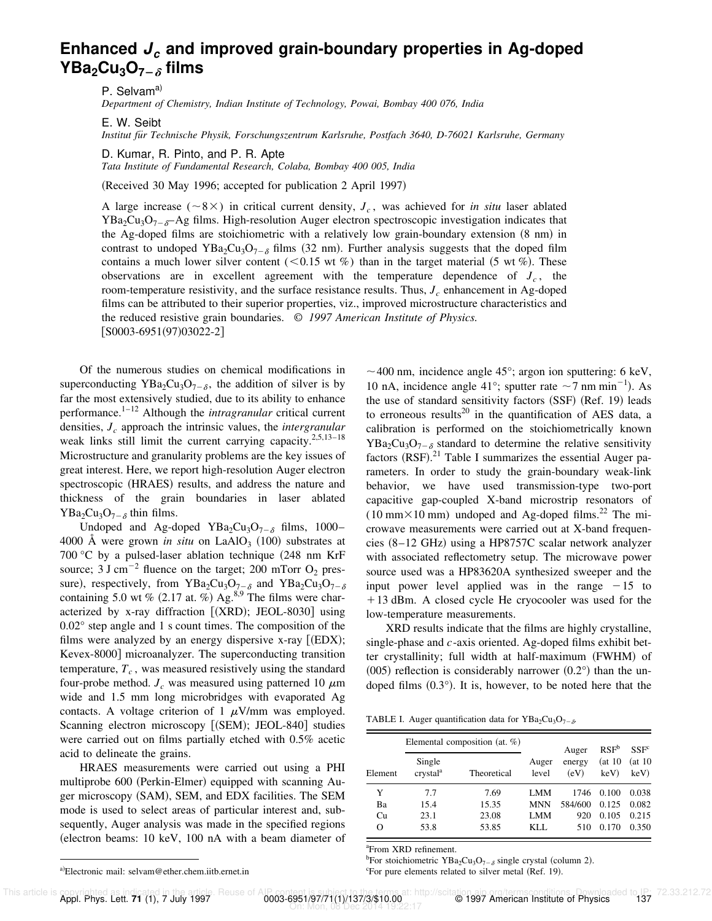## **Enhanced J<sup>c</sup> and improved grain-boundary properties in Ag-doped YBa**<sub>2</sub>**Cu**<sub>3</sub>**O**<sub>7- $\delta$ </sub> films

P. Selvam<sup>a)</sup>

*Department of Chemistry, Indian Institute of Technology, Powai, Bombay 400 076, India*

E. W. Seibt

*Institut fu¨r Technische Physik, Forschungszentrum Karlsruhe, Postfach 3640, D-76021 Karlsruhe, Germany*

D. Kumar, R. Pinto, and P. R. Apte

*Tata Institute of Fundamental Research, Colaba, Bombay 400 005, India*

(Received 30 May 1996; accepted for publication 2 April 1997)

A large increase ( $\sim$ 8 $\times$ ) in critical current density,  $J_c$ , was achieved for *in situ* laser ablated  $YBa_2Cu_3O_{7-\delta}-Ag$  films. High-resolution Auger electron spectroscopic investigation indicates that the Ag-doped films are stoichiometric with a relatively low grain-boundary extension  $(8 \text{ nm})$  in contrast to undoped YBa<sub>2</sub>Cu<sub>3</sub>O<sub>7- $\delta$ </sub> films (32 nm). Further analysis suggests that the doped film contains a much lower silver content ( $< 0.15$  wt %) than in the target material (5 wt %). These observations are in excellent agreement with the temperature dependence of  $J_c$ , the room-temperature resistivity, and the surface resistance results. Thus, *J<sup>c</sup>* enhancement in Ag-doped films can be attributed to their superior properties, viz., improved microstructure characteristics and the reduced resistive grain boundaries. © *1997 American Institute of Physics.*  $[$ S0003-6951(97)03022-2]

Of the numerous studies on chemical modifications in superconducting  $YBa_2Cu_3O_{7-\delta}$ , the addition of silver is by far the most extensively studied, due to its ability to enhance performance.1–12 Although the *intragranular* critical current densities, *J<sup>c</sup>* approach the intrinsic values, the *intergranular* weak links still limit the current carrying capacity.<sup>2,5,13–18</sup> Microstructure and granularity problems are the key issues of great interest. Here, we report high-resolution Auger electron spectroscopic (HRAES) results, and address the nature and thickness of the grain boundaries in laser ablated  $YBa<sub>2</sub>Cu<sub>3</sub>O<sub>7-\delta</sub>$  thin films.

Undoped and Ag-doped YBa<sub>2</sub>Cu<sub>3</sub>O<sub>7- $\delta$ </sub> films, 1000-4000  $\AA$  were grown *in situ* on LaAlO<sub>3</sub> (100) substrates at 700 °C by a pulsed-laser ablation technique  $(248 \text{ nm KrF})$ source; 3 J cm<sup>-2</sup> fluence on the target; 200 mTorr  $O_2$  pressure), respectively, from YBa<sub>2</sub>Cu<sub>3</sub>O<sub>7- $\delta$ </sub> and YBa<sub>2</sub>Cu<sub>3</sub>O<sub>7- $\delta$ </sub> containing 5.0 wt %  $(2.17 \text{ at. } \%)$  Ag.<sup>8,9</sup> The films were characterized by x-ray diffraction  $[(XRD);$  JEOL-8030] using 0.02° step angle and 1 s count times. The composition of the films were analyzed by an energy dispersive x-ray  $[(EDX);$ Kevex-8000] microanalyzer. The superconducting transition temperature, *T<sup>c</sup>* , was measured resistively using the standard four-probe method.  $J_c$  was measured using patterned 10  $\mu$ m wide and 1.5 mm long microbridges with evaporated Ag contacts. A voltage criterion of 1  $\mu$ V/mm was employed. Scanning electron microscopy [(SEM); JEOL-840] studies were carried out on films partially etched with 0.5% acetic acid to delineate the grains.

HRAES measurements were carried out using a PHI multiprobe 600 (Perkin-Elmer) equipped with scanning Auger microscopy (SAM), SEM, and EDX facilities. The SEM mode is used to select areas of particular interest and, subsequently, Auger analysis was made in the specified regions  $(electron beams: 10 keV, 100 nA with a beam diameter of$   $\sim$  400 nm, incidence angle 45°; argon ion sputtering: 6 keV, 10 nA, incidence angle 41°; sputter rate  $\sim$  7 nm min<sup>-1</sup>). As the use of standard sensitivity factors (SSF) (Ref. 19) leads to erroneous results<sup>20</sup> in the quantification of AES data, a calibration is performed on the stoichiometrically known  $YBa<sub>2</sub>Cu<sub>3</sub>O<sub>7-\delta</sub>$  standard to determine the relative sensitivity factors  $(RSF)$ .<sup>21</sup> Table I summarizes the essential Auger parameters. In order to study the grain-boundary weak-link behavior, we have used transmission-type two-port capacitive gap-coupled X-band microstrip resonators of  $(10 \text{ mm} \times 10 \text{ mm})$  undoped and Ag-doped films.<sup>22</sup> The microwave measurements were carried out at X-band frequencies  $(8-12 \text{ GHz})$  using a HP8757C scalar network analyzer with associated reflectometry setup. The microwave power source used was a HP83620A synthesized sweeper and the input power level applied was in the range  $-15$  to +13 dBm. A closed cycle He cryocooler was used for the low-temperature measurements.

XRD results indicate that the films are highly crystalline, single-phase and *c*-axis oriented. Ag-doped films exhibit better crystallinity; full width at half-maximum (FWHM) of  $(0.05)$  reflection is considerably narrower  $(0.2°)$  than the undoped films  $(0.3°)$ . It is, however, to be noted here that the

|  |  |  |  | TABLE I. Auger quantification data for $YBa2Cu3O7-δ$ . |
|--|--|--|--|--------------------------------------------------------|
|--|--|--|--|--------------------------------------------------------|

|         |                                | Elemental composition (at. $%$ ) |                | Auger          | RSF <sup>b</sup>  | SSF <sup>c</sup>  |  |
|---------|--------------------------------|----------------------------------|----------------|----------------|-------------------|-------------------|--|
| Element | Single<br>crystal <sup>a</sup> | Theoretical                      | Auger<br>level | energy<br>(eV) | (at 10<br>$keV$ ) | (at 10<br>$keV$ ) |  |
| Y       | 7.7                            | 7.69                             | LMM            | 1746           | 0.100             | 0.038             |  |
| Ba      | 15.4                           | 15.35                            | <b>MNN</b>     | 584/600        | 0.125             | 0.082             |  |
| Cu      | 23.1                           | 23.08                            | <b>LMM</b>     | 920            | 0.105             | 0.215             |  |
| O       | 53.8                           | 53.85                            | KLL.           | 510            | 0.170             | 0.350             |  |

<sup>a</sup>From XRD refinement.

<sup>b</sup>For stoichiometric YBa<sub>2</sub>Cu<sub>3</sub>O<sub>7- $\delta$ </sub> single crystal (column 2).  $\textdegree$  For pure elements related to silver metal (Ref. 19).

a)Electronic mail: selvam@ether.chem.iitb.ernet.in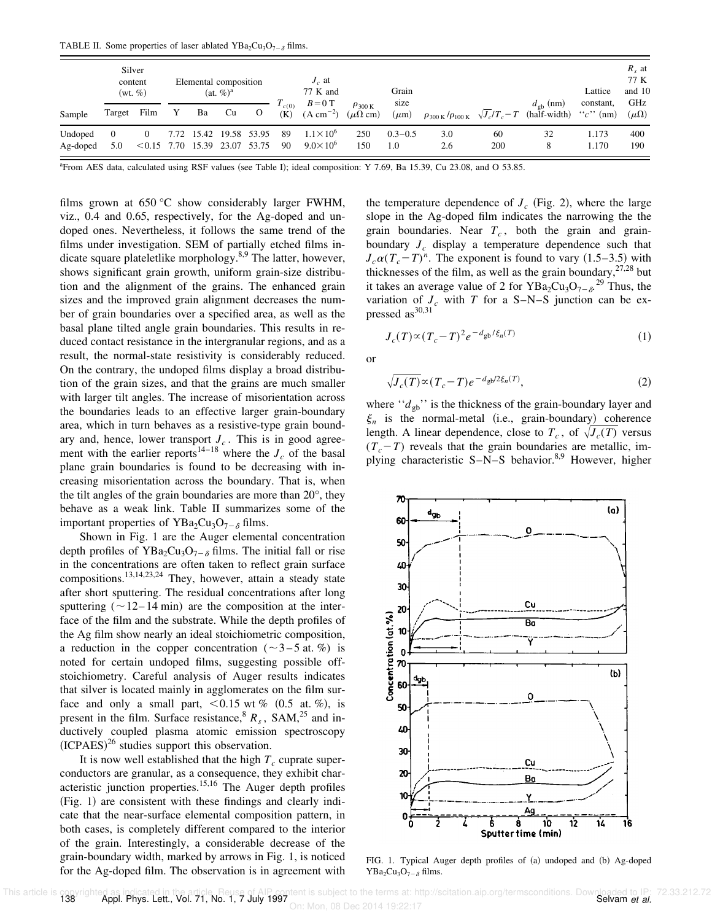TABLE II. Some properties of laser ablated  $YBa<sub>2</sub>Cu<sub>3</sub>O<sub>7-\delta</sub>$  films.

|                     | Silver<br>content<br>$(wt, \%)$ |               |   | Elemental composition<br>$(at, \%)^a$ |                        |          | $J_c$ at<br>77 K and | Grain                                      |                                                      |                    |                                             | Lattice            | $R_s$ at<br>77 K<br>and 10        |                          |                      |
|---------------------|---------------------------------|---------------|---|---------------------------------------|------------------------|----------|----------------------|--------------------------------------------|------------------------------------------------------|--------------------|---------------------------------------------|--------------------|-----------------------------------|--------------------------|----------------------|
| Sample              | Target                          | Film          | Y | Ba                                    | Cu                     | $\Omega$ | $T_{c(0)}$<br>(K)    | $B=0$ T<br>$(A cm^{-2})$                   | $\rho_{300\,\mathrm{K}}$<br>$(\mu\Omega \text{ cm})$ | size<br>$(\mu m)$  | $\rho_{300\,\text{K}}/\rho_{100\,\text{K}}$ | $\sqrt{J_c/T_c-T}$ | $d_{\rho b}$ (nm)<br>(half-width) | constant,<br>$``c"$ (nm) | GHz<br>$(\mu\Omega)$ |
| Undoped<br>Ag-doped | $\Omega$<br>5.0                 | $< 0.15$ 7.70 |   | 15.39 23.07                           | 7.72 15.42 19.58 53.95 | 53.75    | -89<br>-90           | $1.1 \times 10^{6}$<br>$9.0 \times 10^{6}$ | 250<br>150                                           | $0.3 - 0.5$<br>1.0 | 3.0<br>2.6                                  | 60<br>200          | 32<br>8                           | 1.173<br>1.170           | 400<br>190           |

 $aF$ From AES data, calculated using RSF values (see Table I); ideal composition: Y 7.69, Ba 15.39, Cu 23.08, and O 53.85.

films grown at 650 °C show considerably larger FWHM, viz., 0.4 and 0.65, respectively, for the Ag-doped and undoped ones. Nevertheless, it follows the same trend of the films under investigation. SEM of partially etched films indicate square plateletlike morphology.<sup>8,9</sup> The latter, however, shows significant grain growth, uniform grain-size distribution and the alignment of the grains. The enhanced grain sizes and the improved grain alignment decreases the number of grain boundaries over a specified area, as well as the basal plane tilted angle grain boundaries. This results in reduced contact resistance in the intergranular regions, and as a result, the normal-state resistivity is considerably reduced. On the contrary, the undoped films display a broad distribution of the grain sizes, and that the grains are much smaller with larger tilt angles. The increase of misorientation across the boundaries leads to an effective larger grain-boundary area, which in turn behaves as a resistive-type grain boundary and, hence, lower transport  $J_c$ . This is in good agreement with the earlier reports<sup>14–18</sup> where the  $J_c$  of the basal plane grain boundaries is found to be decreasing with increasing misorientation across the boundary. That is, when the tilt angles of the grain boundaries are more than 20°, they behave as a weak link. Table II summarizes some of the important properties of YBa<sub>2</sub>Cu<sub>3</sub>O<sub>7- $\delta$ </sub> films.

Shown in Fig. 1 are the Auger elemental concentration depth profiles of YBa<sub>2</sub>Cu<sub>3</sub>O<sub>7- $\delta$ </sub> films. The initial fall or rise in the concentrations are often taken to reflect grain surface compositions.13,14,23,24 They, however, attain a steady state after short sputtering. The residual concentrations after long sputtering ( $\sim$ 12–14 min) are the composition at the interface of the film and the substrate. While the depth profiles of the Ag film show nearly an ideal stoichiometric composition, a reduction in the copper concentration ( $\sim$ 3–5 at. %) is noted for certain undoped films, suggesting possible offstoichiometry. Careful analysis of Auger results indicates that silver is located mainly in agglomerates on the film surface and only a small part,  $< 0.15$  wt % (0.5 at. %), is present in the film. Surface resistance,  $R_s$ , SAM,  $^{25}$  and inductively coupled plasma atomic emission spectroscopy  $(ICPAES)^{26}$  studies support this observation.

It is now well established that the high  $T_c$  cuprate superconductors are granular, as a consequence, they exhibit characteristic junction properties.<sup>15,16</sup> The Auger depth profiles  $(Fig. 1)$  are consistent with these findings and clearly indicate that the near-surface elemental composition pattern, in both cases, is completely different compared to the interior of the grain. Interestingly, a considerable decrease of the grain-boundary width, marked by arrows in Fig. 1, is noticed for the Ag-doped film. The observation is in agreement with

the temperature dependence of  $J_c$  (Fig. 2), where the large slope in the Ag-doped film indicates the narrowing the the grain boundaries. Near *T<sup>c</sup>* , both the grain and grainboundary  $J_c$  display a temperature dependence such that  $J_c\alpha(T_c-T)^n$ . The exponent is found to vary (1.5–3.5) with thicknesses of the film, as well as the grain boundary,  $27,28$  but it takes an average value of 2 for  $YBa<sub>2</sub>Cu<sub>3</sub>O<sub>7-\delta</sub>$ <sup>29</sup> Thus, the variation of  $J_c$  with *T* for a S–N–S junction can be expressed  $as^{30,31}$ 

$$
J_c(T) \propto (T_c - T)^2 e^{-d_{\text{gb}}/\xi_n(T)} \tag{1}
$$

or

$$
\sqrt{J_c(T)} \propto (T_c - T)e^{-d_{\text{gb}}/2\xi_n(T)},\tag{2}
$$

where  $\lq \lq d_{\text{gb}}$ " is the thickness of the grain-boundary layer and  $\xi_n$  is the normal-metal (i.e., grain-boundary) coherence length. A linear dependence, close to  $T_c$ , of  $\sqrt{J_c(T)}$  versus  $(T_c-T)$  reveals that the grain boundaries are metallic, implying characteristic  $S-N-S$  behavior.<sup>8,9</sup> However, higher



FIG. 1. Typical Auger depth profiles of (a) undoped and (b) Ag-doped YBa<sub>2</sub>Cu<sub>3</sub>O<sub>7- $\delta$ </sub> films.